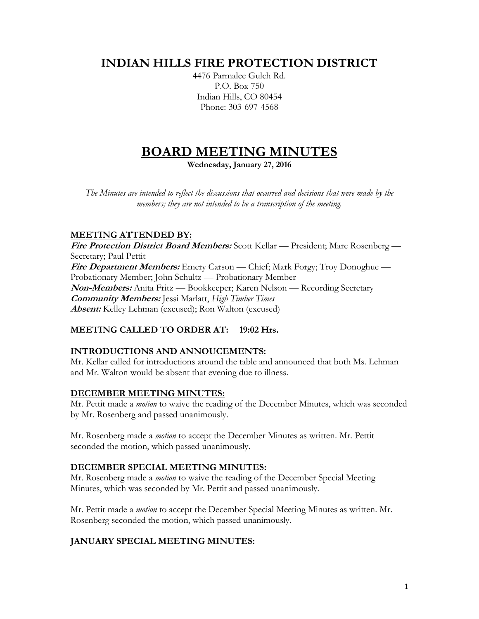# **INDIAN HILLS FIRE PROTECTION DISTRICT**

4476 Parmalee Gulch Rd. P.O. Box 750 Indian Hills, CO 80454 Phone: 303-697-4568

# **BOARD MEETING MINUTES**

**Wednesday, January 27, 2016**

*The Minutes are intended to reflect the discussions that occurred and decisions that were made by the members; they are not intended to be a transcription of the meeting.*

# **MEETING ATTENDED BY:**

**Fire Protection District Board Members:** Scott Kellar — President; Marc Rosenberg — Secretary; Paul Pettit **Fire Department Members:** Emery Carson — Chief; Mark Forgy; Troy Donoghue — Probationary Member; John Schultz — Probationary Member **Non-Members:** Anita Fritz — Bookkeeper; Karen Nelson — Recording Secretary **Community Members:** Jessi Marlatt, *High Timber Times* **Absent:** Kelley Lehman (excused); Ron Walton (excused)

# **MEETING CALLED TO ORDER AT: 19:02 Hrs.**

# **INTRODUCTIONS AND ANNOUCEMENTS:**

Mr. Kellar called for introductions around the table and announced that both Ms. Lehman and Mr. Walton would be absent that evening due to illness.

# **DECEMBER MEETING MINUTES:**

Mr. Pettit made a *motion* to waive the reading of the December Minutes, which was seconded by Mr. Rosenberg and passed unanimously.

Mr. Rosenberg made a *motion* to accept the December Minutes as written. Mr. Pettit seconded the motion, which passed unanimously.

# **DECEMBER SPECIAL MEETING MINUTES:**

Mr. Rosenberg made a *motion* to waive the reading of the December Special Meeting Minutes, which was seconded by Mr. Pettit and passed unanimously.

Mr. Pettit made a *motion* to accept the December Special Meeting Minutes as written. Mr. Rosenberg seconded the motion, which passed unanimously.

# **JANUARY SPECIAL MEETING MINUTES:**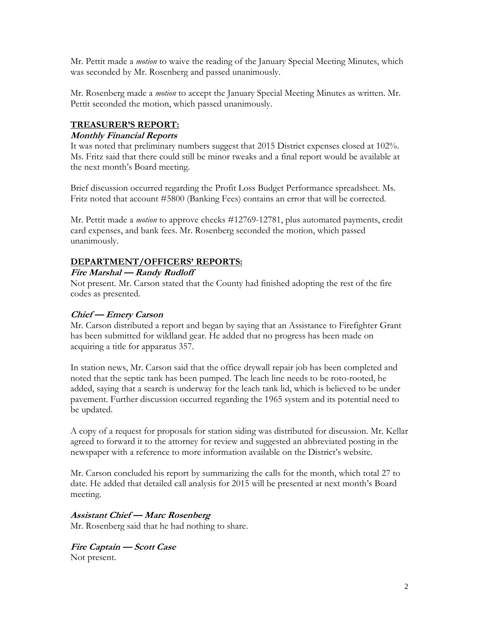Mr. Pettit made a *motion* to waive the reading of the January Special Meeting Minutes, which was seconded by Mr. Rosenberg and passed unanimously.

Mr. Rosenberg made a *motion* to accept the January Special Meeting Minutes as written. Mr. Pettit seconded the motion, which passed unanimously.

# **TREASURER'S REPORT:**

#### **Monthly Financial Reports**

It was noted that preliminary numbers suggest that 2015 District expenses closed at 102%. Ms. Fritz said that there could still be minor tweaks and a final report would be available at the next month's Board meeting.

Brief discussion occurred regarding the Profit Loss Budget Performance spreadsheet. Ms. Fritz noted that account #5800 (Banking Fees) contains an error that will be corrected.

Mr. Pettit made a *motion* to approve checks #12769-12781, plus automated payments, credit card expenses, and bank fees. Mr. Rosenberg seconded the motion, which passed unanimously.

#### **DEPARTMENT/OFFICERS' REPORTS:**

#### **Fire Marshal — Randy Rudloff**

Not present. Mr. Carson stated that the County had finished adopting the rest of the fire codes as presented.

#### **Chief — Emery Carson**

Mr. Carson distributed a report and began by saying that an Assistance to Firefighter Grant has been submitted for wildland gear. He added that no progress has been made on acquiring a title for apparatus 357.

In station news, Mr. Carson said that the office drywall repair job has been completed and noted that the septic tank has been pumped. The leach line needs to be roto-rooted, he added, saying that a search is underway for the leach tank lid, which is believed to be under pavement. Further discussion occurred regarding the 1965 system and its potential need to be updated.

A copy of a request for proposals for station siding was distributed for discussion. Mr. Kellar agreed to forward it to the attorney for review and suggested an abbreviated posting in the newspaper with a reference to more information available on the District's website.

Mr. Carson concluded his report by summarizing the calls for the month, which total 27 to date. He added that detailed call analysis for 2015 will be presented at next month's Board meeting.

#### **Assistant Chief — Marc Rosenberg**

Mr. Rosenberg said that he had nothing to share.

**Fire Captain — Scott Case** Not present.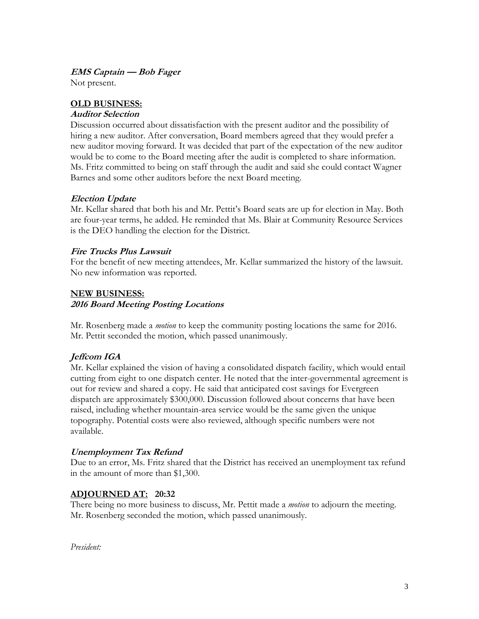#### **EMS Captain — Bob Fager**

Not present.

# **OLD BUSINESS:**

#### **Auditor Selection**

Discussion occurred about dissatisfaction with the present auditor and the possibility of hiring a new auditor. After conversation, Board members agreed that they would prefer a new auditor moving forward. It was decided that part of the expectation of the new auditor would be to come to the Board meeting after the audit is completed to share information. Ms. Fritz committed to being on staff through the audit and said she could contact Wagner Barnes and some other auditors before the next Board meeting.

#### **Election Update**

Mr. Kellar shared that both his and Mr. Pettit's Board seats are up for election in May. Both are four-year terms, he added. He reminded that Ms. Blair at Community Resource Services is the DEO handling the election for the District.

#### **Fire Trucks Plus Lawsuit**

For the benefit of new meeting attendees, Mr. Kellar summarized the history of the lawsuit. No new information was reported.

#### **NEW BUSINESS:**

#### **2016 Board Meeting Posting Locations**

Mr. Rosenberg made a *motion* to keep the community posting locations the same for 2016. Mr. Pettit seconded the motion, which passed unanimously.

# **Jeffcom IGA**

Mr. Kellar explained the vision of having a consolidated dispatch facility, which would entail cutting from eight to one dispatch center. He noted that the inter-governmental agreement is out for review and shared a copy. He said that anticipated cost savings for Evergreen dispatch are approximately \$300,000. Discussion followed about concerns that have been raised, including whether mountain-area service would be the same given the unique topography. Potential costs were also reviewed, although specific numbers were not available.

#### **Unemployment Tax Refund**

Due to an error, Ms. Fritz shared that the District has received an unemployment tax refund in the amount of more than \$1,300.

# **ADJOURNED AT: 20:32**

There being no more business to discuss, Mr. Pettit made a *motion* to adjourn the meeting. Mr. Rosenberg seconded the motion, which passed unanimously.

*President:*